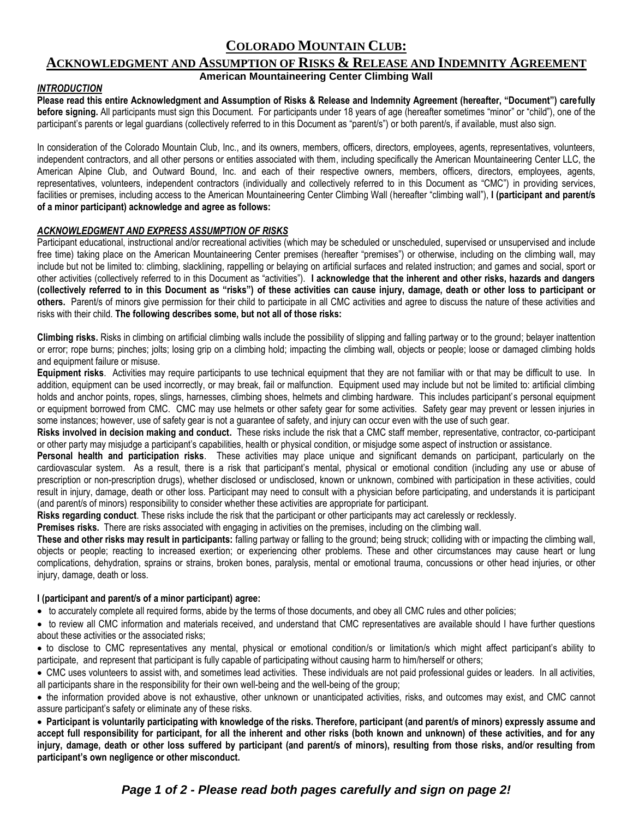# **COLORADO MOUNTAIN CLUB:**

# **ACKNOWLEDGMENT AND ASSUMPTION OF RISKS & RELEASE AND INDEMNITY AGREEMENT American Mountaineering Center Climbing Wall**

# *INTRODUCTION*

**Please read this entire Acknowledgment and Assumption of Risks & Release and Indemnity Agreement (hereafter, "Document") carefully before signing.** All participants must sign this Document. For participants under 18 years of age (hereafter sometimes "minor" or "child"), one of the participant's parents or legal guardians (collectively referred to in this Document as "parent/s") or both parent/s, if available, must also sign.

In consideration of the Colorado Mountain Club, Inc., and its owners, members, officers, directors, employees, agents, representatives, volunteers, independent contractors, and all other persons or entities associated with them, including specifically the American Mountaineering Center LLC, the American Alpine Club, and Outward Bound, Inc. and each of their respective owners, members, officers, directors, employees, agents, representatives, volunteers, independent contractors (individually and collectively referred to in this Document as "CMC") in providing services, facilities or premises, including access to the American Mountaineering Center Climbing Wall (hereafter "climbing wall"), I (participant and parent/s **of a minor participant) acknowledge and agree as follows:**

# *ACKNOWLEDGMENT AND EXPRESS ASSUMPTION OF RISKS*

Participant educational, instructional and/or recreational activities (which may be scheduled or unscheduled, supervised or unsupervised and include free time) taking place on the American Mountaineering Center premises (hereafter "premises") or otherwise, including on the climbing wall, may include but not be limited to: climbing, slacklining, rappelling or belaying on artificial surfaces and related instruction; and games and social, sport or other activities (collectively referred to in this Document as "activities"). **I acknowledge that the inherent and other risks, hazards and dangers (collectively referred to in this Document as "risks") of these activities can cause injury, damage, death or other loss to participant or others.** Parent/s of minors give permission for their child to participate in all CMC activities and agree to discuss the nature of these activities and risks with their child. **The following describes some, but not all of those risks:**

**Climbing risks.** Risks in climbing on artificial climbing walls include the possibility of slipping and falling partway or to the ground; belayer inattention or error; rope burns; pinches; jolts; losing grip on a climbing hold; impacting the climbing wall, objects or people; loose or damaged climbing holds and equipment failure or misuse.

**Equipment risks**. Activities may require participants to use technical equipment that they are not familiar with or that may be difficult to use. In addition, equipment can be used incorrectly, or may break, fail or malfunction. Equipment used may include but not be limited to: artificial climbing holds and anchor points, ropes, slings, harnesses, climbing shoes, helmets and climbing hardware. This includes participant's personal equipment or equipment borrowed from CMC. CMC may use helmets or other safety gear for some activities. Safety gear may prevent or lessen injuries in some instances; however, use of safety gear is not a guarantee of safety, and injury can occur even with the use of such gear.

**Risks involved in decision making and conduct.** These risks include the risk that a CMC staff member, representative, contractor, co-participant or other party may misjudge a participant's capabilities, health or physical condition, or misjudge some aspect of instruction or assistance.

**Personal health and participation risks**. These activities may place unique and significant demands on participant, particularly on the cardiovascular system. As a result, there is a risk that participant's mental, physical or emotional condition (including any use or abuse of prescription or non-prescription drugs), whether disclosed or undisclosed, known or unknown, combined with participation in these activities, could result in injury, damage, death or other loss. Participant may need to consult with a physician before participating, and understands it is participant (and parent/s of minors) responsibility to consider whether these activities are appropriate for participant.

**Risks regarding conduct**. These risks include the risk that the participant or other participants may act carelessly or recklessly.

**Premises risks.** There are risks associated with engaging in activities on the premises, including on the climbing wall.

**These and other risks may result in participants:** falling partway or falling to the ground; being struck; colliding with or impacting the climbing wall, objects or people; reacting to increased exertion; or experiencing other problems. These and other circumstances may cause heart or lung complications, dehydration, sprains or strains, broken bones, paralysis, mental or emotional trauma, concussions or other head injuries, or other injury, damage, death or loss.

#### **I (participant and parent/s of a minor participant) agree:**

to accurately complete all required forms, abide by the terms of those documents, and obey all CMC rules and other policies;

 to review all CMC information and materials received, and understand that CMC representatives are available should I have further questions about these activities or the associated risks;

 to disclose to CMC representatives any mental, physical or emotional condition/s or limitation/s which might affect participant's ability to participate, and represent that participant is fully capable of participating without causing harm to him/herself or others;

 CMC uses volunteers to assist with, and sometimes lead activities. These individuals are not paid professional guides or leaders. In all activities, all participants share in the responsibility for their own well-being and the well-being of the group;

 the information provided above is not exhaustive, other unknown or unanticipated activities, risks, and outcomes may exist, and CMC cannot assure participant's safety or eliminate any of these risks.

 **Participant is voluntarily participating with knowledge of the risks. Therefore, participant (and parent/s of minors) expressly assume and accept full responsibility for participant, for all the inherent and other risks (both known and unknown) of these activities, and for any**  injury, damage, death or other loss suffered by participant (and parent/s of minors), resulting from those risks, and/or resulting from **participant's own negligence or other misconduct.**

# *Page 1 of 2 - Please read both pages carefully and sign on page 2!*